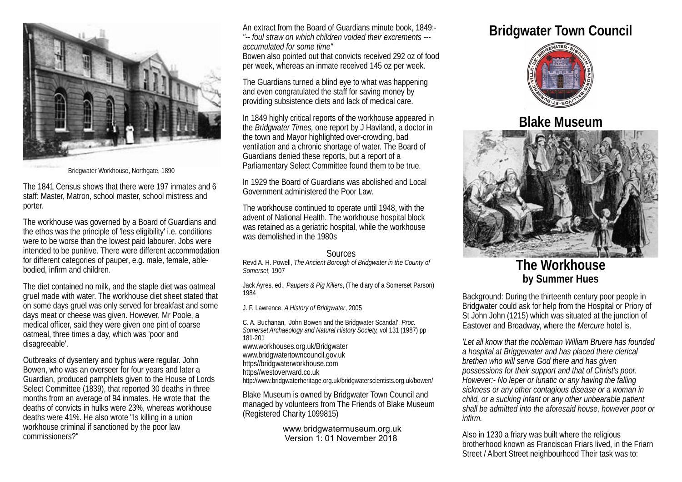

Bridgwater Workhouse, Northgate, 1890

The 1841 Census shows that there were 197 inmates and 6 staff: Master, Matron, school master, school mistress and porter.

The workhouse was governed by a Board of Guardians and the ethos was the principle of 'less eligibility' i.e. conditions were to be worse than the lowest paid labourer. Jobs were intended to be punitive. There were different accommodation for different categories of pauper, e.g. male, female, ablebodied, infirm and children.

The diet contained no milk, and the staple diet was oatmeal gruel made with water. The workhouse diet sheet stated that on some days gruel was only served for breakfast and some days meat or cheese was given. However, Mr Poole, a medical officer, said they were given one pint of coarse oatmeal, three times a day, which was 'poor and disagreeable'.

Outbreaks of dysentery and typhus were regular. John Bowen, who was an overseer for four years and later a Guardian, produced pamphlets given to the House of Lords Select Committee (1839), that reported 30 deaths in three months from an average of 94 inmates. He wrote that the deaths of convicts in hulks were 23%, whereas workhouse deaths were 41%. He also wrote "Is killing in a union workhouse criminal if sanctioned by the poor law commissioners?"

An extract from the Board of Guardians minute book, 1849:- *"-- foul straw on which children voided their excrements -- accumulated for some time"*

Bowen also pointed out that convicts received 292 oz of food per week, whereas an inmate received 145 oz per week.

The Guardians turned a blind eye to what was happening and even congratulated the staff for saving money by providing subsistence diets and lack of medical care.

In 1849 highly critical reports of the workhouse appeared in the *Bridgwater Times,* one report by J Haviland, a doctor in the town and Mayor highlighted over-crowding, bad ventilation and a chronic shortage of water. The Board of Guardians denied these reports, but a report of a Parliamentary Select Committee found them to be true.

In 1929 the Board of Guardians was abolished and Local Government administered the Poor Law.

The workhouse continued to operate until 1948, with the advent of National Health. The workhouse hospital block was retained as a geriatric hospital, while the workhouse was demolished in the 1980s

## Sources

Revd A. H. Powell, *The Ancient Borough of Bridgwater in the County of Somerset,* 1907

Jack Ayres, ed., *Paupers & Pig Killers*, (The diary of a Somerset Parson) 1984

J. F. Lawrence, *A History of Bridgwater*, 2005

C. A. Buchanan, 'John Bowen and the Bridgwater Scandal', *Proc. Somerset Archaeology and Natural History Society,* vol 131 (1987) pp 181-201 www.workhouses.org.uk/Bridgwater www.bridgwatertowncouncil.gov.uk https//bridgwaterworkhouse.com https//westoverward.co.uk http://www.bridgwaterheritage.org.uk/bridgwaterscientists.org.uk/bowen/

Blake Museum is owned by Bridgwater Town Council and managed by volunteers from The Friends of Blake Museum (Registered Charity 1099815)

> www.bridgwatermuseum.org.uk Version 1: 01 November 2018

## **Bridgwater Town Council**



**Blake Museum**



**The Workhouse by Summer Hues**

Background: During the thirteenth century poor people in Bridgwater could ask for help from the Hospital or Priory of St John John (1215) which was situated at the junction of Eastover and Broadway, where the *Mercure* hotel is.

*'Let all know that the nobleman William Bruere has founded a hospital at Briggewater and has placed there clerical brethen who will serve God there and has given possessions for their support and that of Christ's poor. However:- No leper or lunatic or any having the falling sickness or any other contagious disease or a woman in child, or a sucking infant or any other unbearable patient shall be admitted into the aforesaid house, however poor or infirm.*

Also in 1230 a friary was built where the religious brotherhood known as Franciscan Friars lived, in the Friarn Street / Albert Street neighbourhood Their task was to: